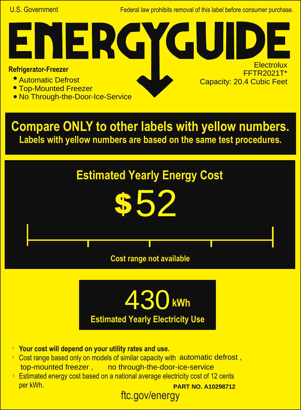U.S. Government Federal law prohibits removal of this label before consumer purchase.

**College** 

**Electrolux** FFTR2021T\*

Capacity: 20.4 Cubic Feet

## **Refrigerator-Freezer**

- Automatic Defrost
- Top-Mounted Freezer
- No Through-the-Door-Ice-Service

NER

**Compare ONLY to other labels with yellow numbers. Labels with yellow numbers are based on the same test procedures.**





- **Your cost will depend on your utility rates and use.** l
- Cost range based only on models of similar capacity with automatic defrost, top-mounted freezer, no through-the-door-ice-service
- ftc.gov/energy **Estimated energy cost based on a national average electricity cost of 12 cents** per kWh. **PART NO. A10298712**